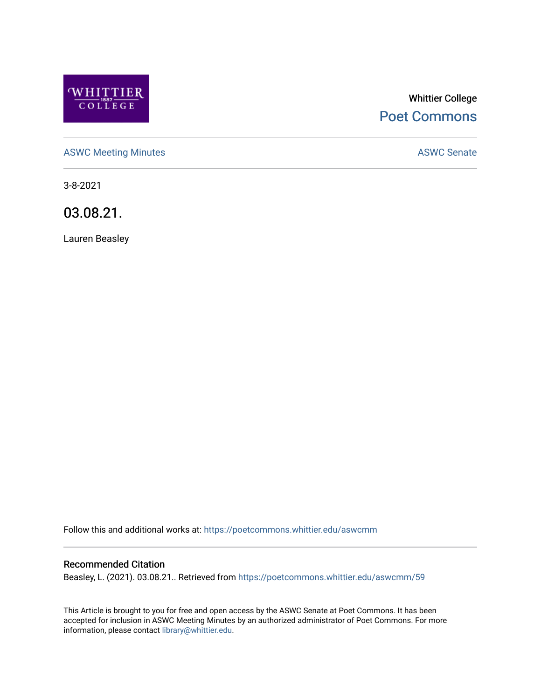

# Whittier College [Poet Commons](https://poetcommons.whittier.edu/)

[ASWC Meeting Minutes](https://poetcommons.whittier.edu/aswcmm) **ASWC Senate** 

3-8-2021

03.08.21.

Lauren Beasley

Follow this and additional works at: [https://poetcommons.whittier.edu/aswcmm](https://poetcommons.whittier.edu/aswcmm?utm_source=poetcommons.whittier.edu%2Faswcmm%2F59&utm_medium=PDF&utm_campaign=PDFCoverPages)

#### Recommended Citation

Beasley, L. (2021). 03.08.21.. Retrieved from [https://poetcommons.whittier.edu/aswcmm/59](https://poetcommons.whittier.edu/aswcmm/59?utm_source=poetcommons.whittier.edu%2Faswcmm%2F59&utm_medium=PDF&utm_campaign=PDFCoverPages)

This Article is brought to you for free and open access by the ASWC Senate at Poet Commons. It has been accepted for inclusion in ASWC Meeting Minutes by an authorized administrator of Poet Commons. For more information, please contact [library@whittier.edu.](mailto:library@whittier.edu)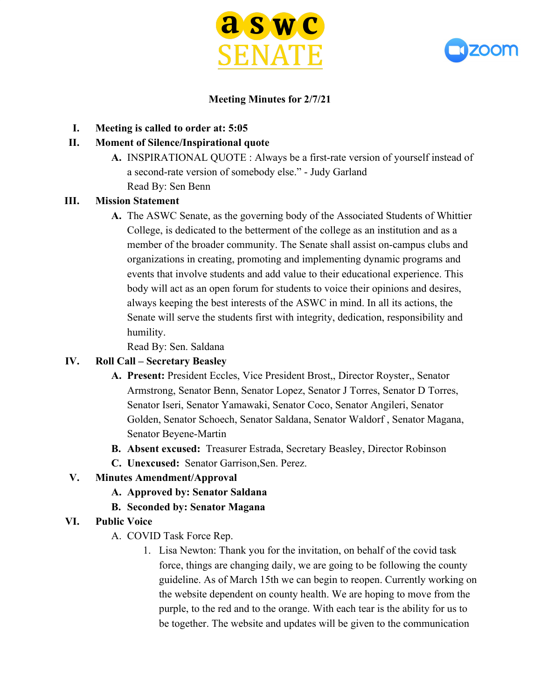



## **Meeting Minutes for 2/7/21**

**I. Meeting is called to order at: 5:05**

#### **II. Moment of Silence/Inspirational quote**

**A.** INSPIRATIONAL QUOTE : Always be a first-rate version of yourself instead of a second-rate version of somebody else." - Judy Garland Read By: Sen Benn

#### **III. Mission Statement**

**A.** The ASWC Senate, as the governing body of the Associated Students of Whittier College, is dedicated to the betterment of the college as an institution and as a member of the broader community. The Senate shall assist on-campus clubs and organizations in creating, promoting and implementing dynamic programs and events that involve students and add value to their educational experience. This body will act as an open forum for students to voice their opinions and desires, always keeping the best interests of the ASWC in mind. In all its actions, the Senate will serve the students first with integrity, dedication, responsibility and humility.

Read By: Sen. Saldana

#### **IV. Roll Call – Secretary Beasley**

- **A. Present:** President Eccles, Vice President Brost,, Director Royster,, Senator Armstrong, Senator Benn, Senator Lopez, Senator J Torres, Senator D Torres, Senator Iseri, Senator Yamawaki, Senator Coco, Senator Angileri, Senator Golden, Senator Schoech, Senator Saldana, Senator Waldorf , Senator Magana, Senator Beyene-Martin
- **B. Absent excused:** Treasurer Estrada, Secretary Beasley, Director Robinson
- **C. Unexcused:** Senator Garrison,Sen. Perez.

#### **V. Minutes Amendment/Approval**

- **A. Approved by: Senator Saldana**
- **B. Seconded by: Senator Magana**

#### **VI. Public Voice**

- A. COVID Task Force Rep.
	- 1. Lisa Newton: Thank you for the invitation, on behalf of the covid task force, things are changing daily, we are going to be following the county guideline. As of March 15th we can begin to reopen. Currently working on the website dependent on county health. We are hoping to move from the purple, to the red and to the orange. With each tear is the ability for us to be together. The website and updates will be given to the communication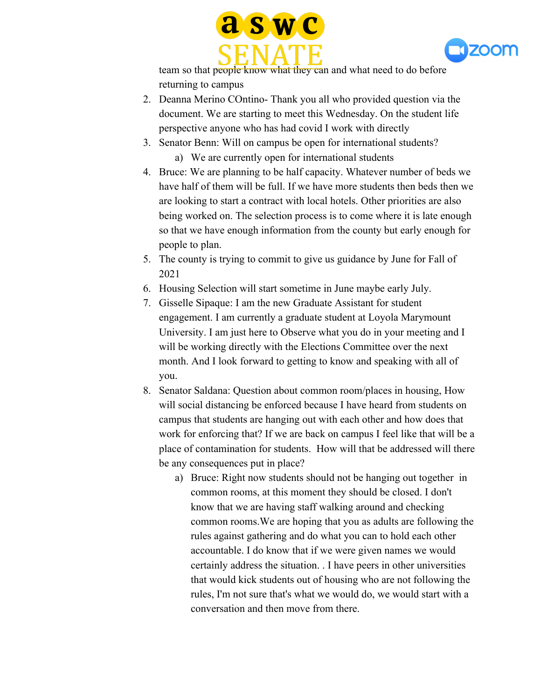



team so that people know what they can and what need to do before returning to campus

- 2. Deanna Merino COntino- Thank you all who provided question via the document. We are starting to meet this Wednesday. On the student life perspective anyone who has had covid I work with directly
- 3. Senator Benn: Will on campus be open for international students? a) We are currently open for international students
- 4. Bruce: We are planning to be half capacity. Whatever number of beds we have half of them will be full. If we have more students then beds then we are looking to start a contract with local hotels. Other priorities are also being worked on. The selection process is to come where it is late enough so that we have enough information from the county but early enough for people to plan.
- 5. The county is trying to commit to give us guidance by June for Fall of 2021
- 6. Housing Selection will start sometime in June maybe early July.
- 7. Gisselle Sipaque: I am the new Graduate Assistant for student engagement. I am currently a graduate student at Loyola Marymount University. I am just here to Observe what you do in your meeting and I will be working directly with the Elections Committee over the next month. And I look forward to getting to know and speaking with all of you.
- 8. Senator Saldana: Question about common room/places in housing, How will social distancing be enforced because I have heard from students on campus that students are hanging out with each other and how does that work for enforcing that? If we are back on campus I feel like that will be a place of contamination for students. How will that be addressed will there be any consequences put in place?
	- a) Bruce: Right now students should not be hanging out together in common rooms, at this moment they should be closed. I don't know that we are having staff walking around and checking common rooms.We are hoping that you as adults are following the rules against gathering and do what you can to hold each other accountable. I do know that if we were given names we would certainly address the situation. . I have peers in other universities that would kick students out of housing who are not following the rules, I'm not sure that's what we would do, we would start with a conversation and then move from there.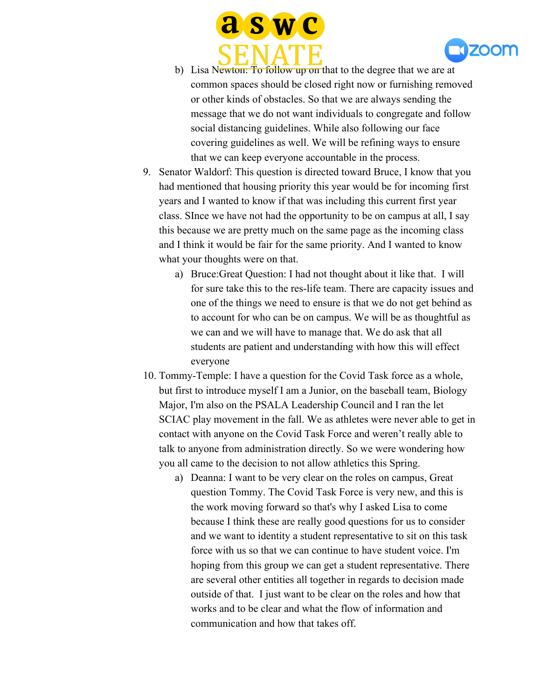



- b) Lisa Newton: To follow up on that to the degree that we are at common spaces should be closed right now or furnishing removed or other kinds of obstacles. So that we are always sending the message that we do not want individuals to congregate and follow social distancing guidelines. While also following our face covering guidelines as well. We will be refining ways to ensure that we can keep everyone accountable in the process.
- 9. Senator Waldorf: This question is directed toward Bruce, I know that you had mentioned that housing priority this year would be for incoming first years and I wanted to know if that was including this current first year class. SInce we have not had the opportunity to be on campus at all, I say this because we are pretty much on the same page as the incoming class and I think it would be fair for the same priority. And I wanted to know what your thoughts were on that.
	- a) Bruce:Great Question: I had not thought about it like that. I will for sure take this to the res-life team. There are capacity issues and one of the things we need to ensure is that we do not get behind as to account for who can be on campus. We will be as thoughtful as we can and we will have to manage that. We do ask that all students are patient and understanding with how this will effect everyone
- 10. Tommy-Temple: I have a question for the Covid Task force as a whole, but first to introduce myself I am a Junior, on the baseball team, Biology Major, I'm also on the PSALA Leadership Council and I ran the let SCIAC play movement in the fall. We as athletes were never able to get in contact with anyone on the Covid Task Force and weren't really able to talk to anyone from administration directly. So we were wondering how you all came to the decision to not allow athletics this Spring.
	- a) Deanna: I want to be very clear on the roles on campus, Great question Tommy. The Covid Task Force is very new, and this is the work moving forward so that's why I asked Lisa to come because I think these are really good questions for us to consider and we want to identity a student representative to sit on this task force with us so that we can continue to have student voice. I'm hoping from this group we can get a student representative. There are several other entities all together in regards to decision made outside of that. I just want to be clear on the roles and how that works and to be clear and what the flow of information and communication and how that takes off.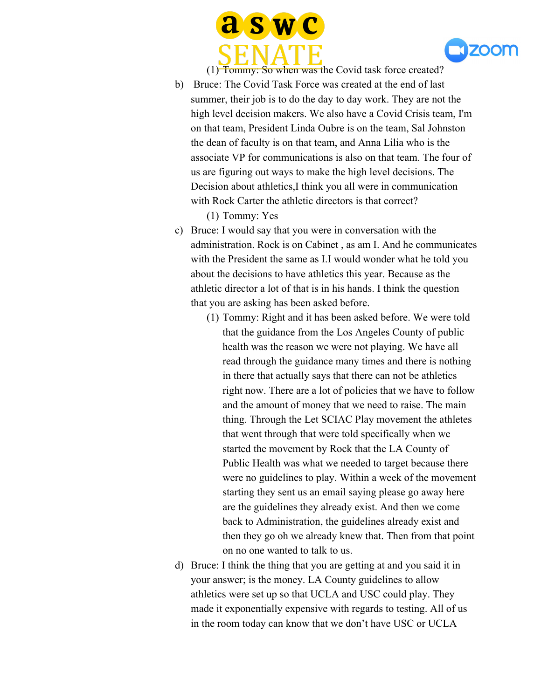



(1) Tommy: So when was the Covid task force created?

- b) Bruce: The Covid Task Force was created at the end of last summer, their job is to do the day to day work. They are not the high level decision makers. We also have a Covid Crisis team, I'm on that team, President Linda Oubre is on the team, Sal Johnston the dean of faculty is on that team, and Anna Lilia who is the associate VP for communications is also on that team. The four of us are figuring out ways to make the high level decisions. The Decision about athletics,I think you all were in communication with Rock Carter the athletic directors is that correct?
	- (1) Tommy: Yes
- c) Bruce: I would say that you were in conversation with the administration. Rock is on Cabinet , as am I. And he communicates with the President the same as I.I would wonder what he told you about the decisions to have athletics this year. Because as the athletic director a lot of that is in his hands. I think the question that you are asking has been asked before.
	- (1) Tommy: Right and it has been asked before. We were told that the guidance from the Los Angeles County of public health was the reason we were not playing. We have all read through the guidance many times and there is nothing in there that actually says that there can not be athletics right now. There are a lot of policies that we have to follow and the amount of money that we need to raise. The main thing. Through the Let SCIAC Play movement the athletes that went through that were told specifically when we started the movement by Rock that the LA County of Public Health was what we needed to target because there were no guidelines to play. Within a week of the movement starting they sent us an email saying please go away here are the guidelines they already exist. And then we come back to Administration, the guidelines already exist and then they go oh we already knew that. Then from that point on no one wanted to talk to us.
- d) Bruce: I think the thing that you are getting at and you said it in your answer; is the money. LA County guidelines to allow athletics were set up so that UCLA and USC could play. They made it exponentially expensive with regards to testing. All of us in the room today can know that we don't have USC or UCLA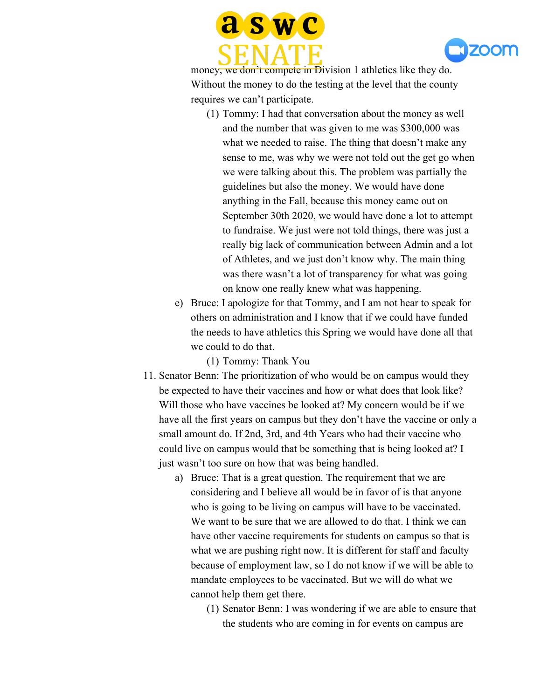



money, we don't compete in Division 1 athletics like they do. Without the money to do the testing at the level that the county requires we can't participate.

- (1) Tommy: I had that conversation about the money as well and the number that was given to me was \$300,000 was what we needed to raise. The thing that doesn't make any sense to me, was why we were not told out the get go when we were talking about this. The problem was partially the guidelines but also the money. We would have done anything in the Fall, because this money came out on September 30th 2020, we would have done a lot to attempt to fundraise. We just were not told things, there was just a really big lack of communication between Admin and a lot of Athletes, and we just don't know why. The main thing was there wasn't a lot of transparency for what was going on know one really knew what was happening.
- e) Bruce: I apologize for that Tommy, and I am not hear to speak for others on administration and I know that if we could have funded the needs to have athletics this Spring we would have done all that we could to do that.

(1) Tommy: Thank You

- 11. Senator Benn: The prioritization of who would be on campus would they be expected to have their vaccines and how or what does that look like? Will those who have vaccines be looked at? My concern would be if we have all the first years on campus but they don't have the vaccine or only a small amount do. If 2nd, 3rd, and 4th Years who had their vaccine who could live on campus would that be something that is being looked at? I just wasn't too sure on how that was being handled.
	- a) Bruce: That is a great question. The requirement that we are considering and I believe all would be in favor of is that anyone who is going to be living on campus will have to be vaccinated. We want to be sure that we are allowed to do that. I think we can have other vaccine requirements for students on campus so that is what we are pushing right now. It is different for staff and faculty because of employment law, so I do not know if we will be able to mandate employees to be vaccinated. But we will do what we cannot help them get there.
		- (1) Senator Benn: I was wondering if we are able to ensure that the students who are coming in for events on campus are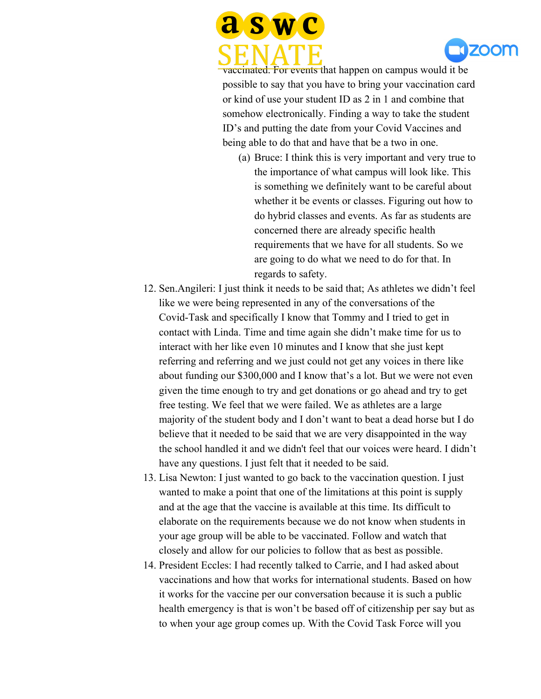



vaccinated. For events that happen on campus would it be possible to say that you have to bring your vaccination card or kind of use your student ID as 2 in 1 and combine that somehow electronically. Finding a way to take the student ID's and putting the date from your Covid Vaccines and being able to do that and have that be a two in one.

- (a) Bruce: I think this is very important and very true to the importance of what campus will look like. This is something we definitely want to be careful about whether it be events or classes. Figuring out how to do hybrid classes and events. As far as students are concerned there are already specific health requirements that we have for all students. So we are going to do what we need to do for that. In regards to safety.
- 12. Sen.Angileri: I just think it needs to be said that; As athletes we didn't feel like we were being represented in any of the conversations of the Covid-Task and specifically I know that Tommy and I tried to get in contact with Linda. Time and time again she didn't make time for us to interact with her like even 10 minutes and I know that she just kept referring and referring and we just could not get any voices in there like about funding our \$300,000 and I know that's a lot. But we were not even given the time enough to try and get donations or go ahead and try to get free testing. We feel that we were failed. We as athletes are a large majority of the student body and I don't want to beat a dead horse but I do believe that it needed to be said that we are very disappointed in the way the school handled it and we didn't feel that our voices were heard. I didn't have any questions. I just felt that it needed to be said.
- 13. Lisa Newton: I just wanted to go back to the vaccination question. I just wanted to make a point that one of the limitations at this point is supply and at the age that the vaccine is available at this time. Its difficult to elaborate on the requirements because we do not know when students in your age group will be able to be vaccinated. Follow and watch that closely and allow for our policies to follow that as best as possible.
- 14. President Eccles: I had recently talked to Carrie, and I had asked about vaccinations and how that works for international students. Based on how it works for the vaccine per our conversation because it is such a public health emergency is that is won't be based off of citizenship per say but as to when your age group comes up. With the Covid Task Force will you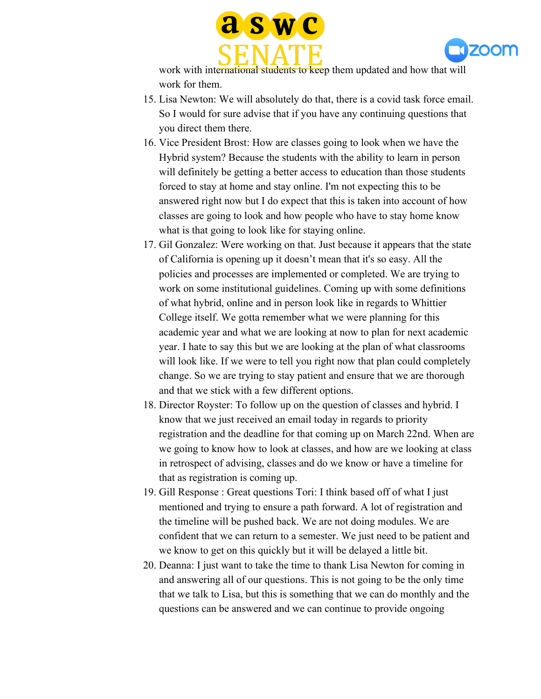



work with international students to keep them updated and how that will work for them.

- 15. Lisa Newton: We will absolutely do that, there is a covid task force email. So I would for sure advise that if you have any continuing questions that you direct them there.
- 16. Vice President Brost: How are classes going to look when we have the Hybrid system? Because the students with the ability to learn in person will definitely be getting a better access to education than those students forced to stay at home and stay online. I'm not expecting this to be answered right now but I do expect that this is taken into account of how classes are going to look and how people who have to stay home know what is that going to look like for staying online.
- 17. Gil Gonzalez: Were working on that. Just because it appears that the state of California is opening up it doesn't mean that it's so easy. All the policies and processes are implemented or completed. We are trying to work on some institutional guidelines. Coming up with some definitions of what hybrid, online and in person look like in regards to Whittier College itself. We gotta remember what we were planning for this academic year and what we are looking at now to plan for next academic year. I hate to say this but we are looking at the plan of what classrooms will look like. If we were to tell you right now that plan could completely change. So we are trying to stay patient and ensure that we are thorough and that we stick with a few different options.
- 18. Director Royster: To follow up on the question of classes and hybrid. I know that we just received an email today in regards to priority registration and the deadline for that coming up on March 22nd. When are we going to know how to look at classes, and how are we looking at class in retrospect of advising, classes and do we know or have a timeline for that as registration is coming up.
- 19. Gill Response : Great questions Tori: I think based off of what I just mentioned and trying to ensure a path forward. A lot of registration and the timeline will be pushed back. We are not doing modules. We are confident that we can return to a semester. We just need to be patient and we know to get on this quickly but it will be delayed a little bit.
- 20. Deanna: I just want to take the time to thank Lisa Newton for coming in and answering all of our questions. This is not going to be the only time that we talk to Lisa, but this is something that we can do monthly and the questions can be answered and we can continue to provide ongoing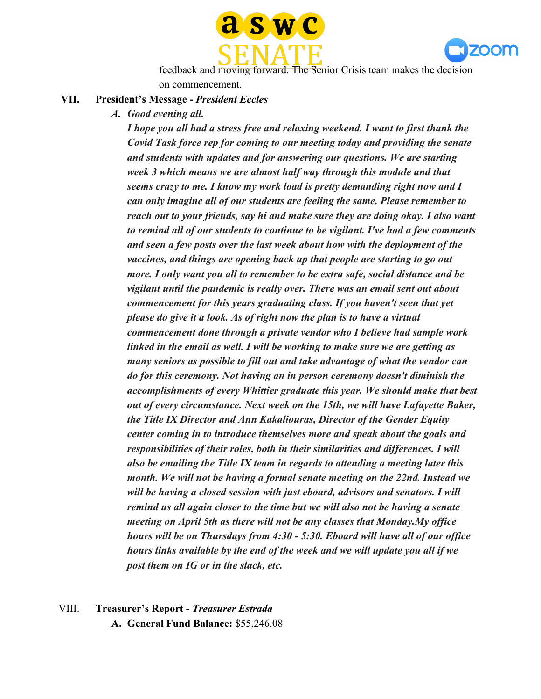



feedback and moving forward. The Senior Crisis team makes the decision on commencement.

#### **VII. President's Message -** *President Eccles*

*A. Good evening all.*

*I hope you all had a stress free and relaxing weekend. I want to first thank the Covid Task force rep for coming to our meeting today and providing the senate and students with updates and for answering our questions. We are starting week 3 which means we are almost half way through this module and that seems crazy to me. I know my work load is pretty demanding right now and I can only imagine all of our students are feeling the same. Please remember to reach out to your friends, say hi and make sure they are doing okay. I also want to remind all of our students to continue to be vigilant. I've had a few comments and seen a few posts over the last week about how with the deployment of the vaccines, and things are opening back up that people are starting to go out more. I only want you all to remember to be extra safe, social distance and be vigilant until the pandemic is really over. There was an email sent out about commencement for this years graduating class. If you haven't seen that yet please do give it a look. As of right now the plan is to have a virtual commencement done through a private vendor who I believe had sample work linked in the email as well. I will be working to make sure we are getting as many seniors as possible to fill out and take advantage of what the vendor can do for this ceremony. Not having an in person ceremony doesn't diminish the accomplishments of every Whittier graduate this year. We should make that best out of every circumstance. Next week on the 15th, we will have Lafayette Baker, the Title IX Director and Ann Kakaliouras, Director of the Gender Equity center coming in to introduce themselves more and speak about the goals and responsibilities of their roles, both in their similarities and differences. I will also be emailing the Title IX team in regards to attending a meeting later this month. We will not be having a formal senate meeting on the 22nd. Instead we will be having a closed session with just eboard, advisors and senators. I will remind us all again closer to the time but we will also not be having a senate meeting on April 5th as there will not be any classes that Monday.My office hours will be on Thursdays from 4:30 - 5:30. Eboard will have all of our office hours links available by the end of the week and we will update you all if we post them on IG or in the slack, etc.*

VIII. **Treasurer's Report -** *Treasurer Estrada* **A. General Fund Balance:** \$55,246.08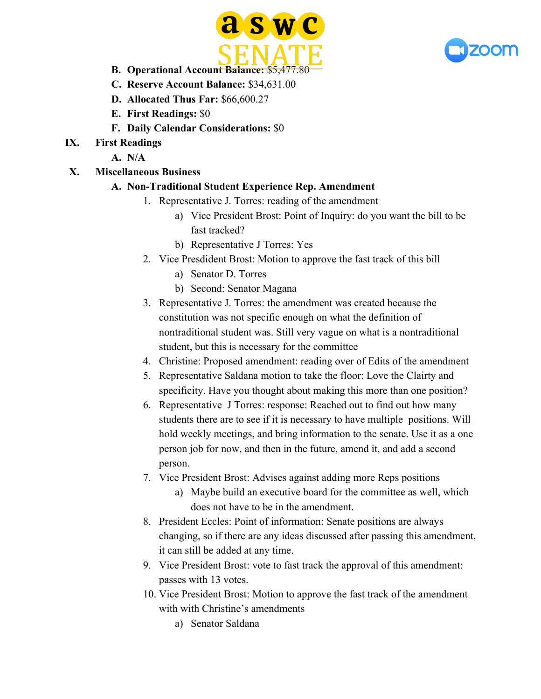



- **B. Operational Account Balance:** \$5,477.80
- **C. Reserve Account Balance:** \$34,631.00
- **D. Allocated Thus Far:** \$66,600.27
- **E. First Readings:** \$0
- **F. Daily Calendar Considerations:** \$0
- **IX. First Readings**
	- **A. N/A**
- **X. Miscellaneous Business**

## **A. Non-Traditional Student Experience Rep. Amendment**

- 1. Representative J. Torres: reading of the amendment
	- a) Vice President Brost: Point of Inquiry: do you want the bill to be fast tracked?
	- b) Representative J Torres: Yes
- 2. Vice Presdident Brost: Motion to approve the fast track of this bill
	- a) Senator D. Torres
	- b) Second: Senator Magana
- 3. Representative J. Torres: the amendment was created because the constitution was not specific enough on what the definition of nontraditional student was. Still very vague on what is a nontraditional student, but this is necessary for the committee
- 4. Christine: Proposed amendment: reading over of Edits of the amendment
- 5. Representative Saldana motion to take the floor: Love the Clairty and specificity. Have you thought about making this more than one position?
- 6. Representative J Torres: response: Reached out to find out how many students there are to see if it is necessary to have multiple positions. Will hold weekly meetings, and bring information to the senate. Use it as a one person job for now, and then in the future, amend it, and add a second person.
- 7. Vice President Brost: Advises against adding more Reps positions
	- a) Maybe build an executive board for the committee as well, which does not have to be in the amendment.
- 8. President Eccles: Point of information: Senate positions are always changing, so if there are any ideas discussed after passing this amendment, it can still be added at any time.
- 9. Vice President Brost: vote to fast track the approval of this amendment: passes with 13 votes.
- 10. Vice President Brost: Motion to approve the fast track of the amendment with with Christine's amendments
	- a) Senator Saldana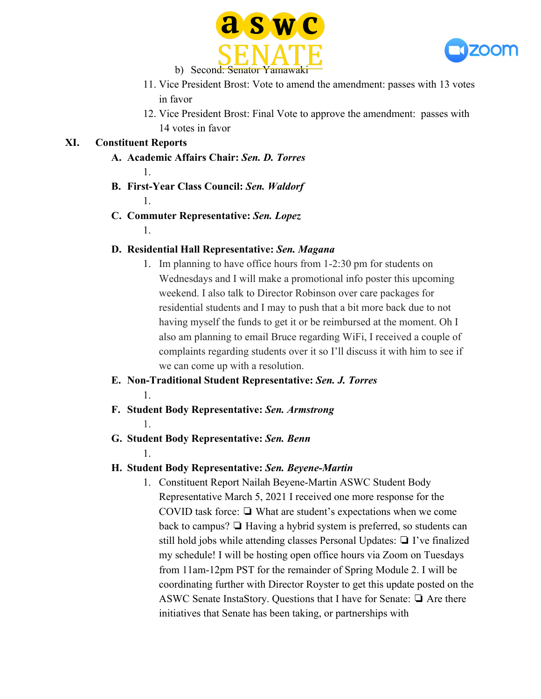



- 11. Vice President Brost: Vote to amend the amendment: passes with 13 votes in favor
- 12. Vice President Brost: Final Vote to approve the amendment: passes with 14 votes in favor

## **XI. Constituent Reports**

- **A. Academic Affairs Chair:** *Sen. D. Torres*
- **B. First-Year Class Council:** *Sen. Waldorf* 1.
- **C. Commuter Representative:** *Sen. Lopez*
	- 1.

1.

## **D. Residential Hall Representative:** *Sen. Magana*

- 1. Im planning to have office hours from 1-2:30 pm for students on Wednesdays and I will make a promotional info poster this upcoming weekend. I also talk to Director Robinson over care packages for residential students and I may to push that a bit more back due to not having myself the funds to get it or be reimbursed at the moment. Oh I also am planning to email Bruce regarding WiFi, I received a couple of complaints regarding students over it so I'll discuss it with him to see if we can come up with a resolution.
- **E. Non-Traditional Student Representative:** *Sen. J. Torres* 1.
- **F. Student Body Representative:** *Sen. Armstrong* 1.
- **G. Student Body Representative:** *Sen. Benn*
	- 1.

## **H. Student Body Representative:** *Sen. Beyene-Martin*

1. Constituent Report Nailah Beyene-Martin ASWC Student Body Representative March 5, 2021 I received one more response for the COVID task force: ❏ What are student's expectations when we come back to campus? ❏ Having a hybrid system is preferred, so students can still hold jobs while attending classes Personal Updates: ❏ I've finalized my schedule! I will be hosting open office hours via Zoom on Tuesdays from 11am-12pm PST for the remainder of Spring Module 2. I will be coordinating further with Director Royster to get this update posted on the ASWC Senate InstaStory. Questions that I have for Senate: ❏ Are there initiatives that Senate has been taking, or partnerships with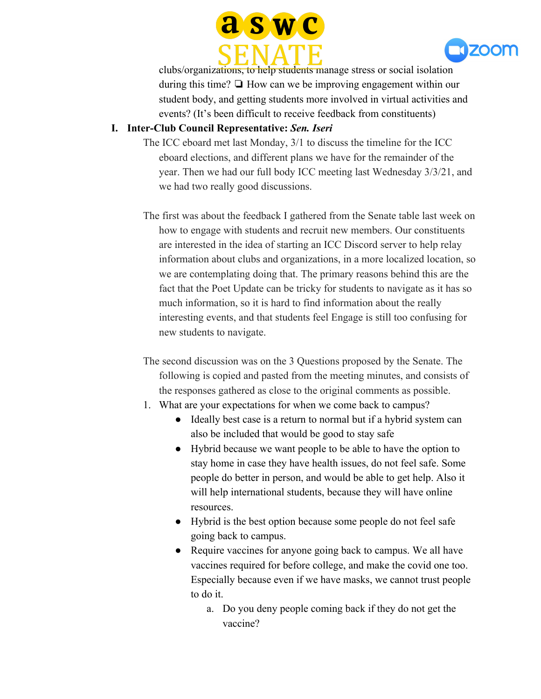



clubs/organizations, to help students manage stress or social isolation during this time? ❏ How can we be improving engagement within our student body, and getting students more involved in virtual activities and events? (It's been difficult to receive feedback from constituents)

## **I. Inter-Club Council Representative:** *Sen. Iseri*

- The ICC eboard met last Monday, 3/1 to discuss the timeline for the ICC eboard elections, and different plans we have for the remainder of the year. Then we had our full body ICC meeting last Wednesday 3/3/21, and we had two really good discussions.
- The first was about the feedback I gathered from the Senate table last week on how to engage with students and recruit new members. Our constituents are interested in the idea of starting an ICC Discord server to help relay information about clubs and organizations, in a more localized location, so we are contemplating doing that. The primary reasons behind this are the fact that the Poet Update can be tricky for students to navigate as it has so much information, so it is hard to find information about the really interesting events, and that students feel Engage is still too confusing for new students to navigate.
- The second discussion was on the 3 Questions proposed by the Senate. The following is copied and pasted from the meeting minutes, and consists of the responses gathered as close to the original comments as possible.
- 1. What are your expectations for when we come back to campus?
	- Ideally best case is a return to normal but if a hybrid system can also be included that would be good to stay safe
	- Hybrid because we want people to be able to have the option to stay home in case they have health issues, do not feel safe. Some people do better in person, and would be able to get help. Also it will help international students, because they will have online resources.
	- Hybrid is the best option because some people do not feel safe going back to campus.
	- Require vaccines for anyone going back to campus. We all have vaccines required for before college, and make the covid one too. Especially because even if we have masks, we cannot trust people to do it.
		- a. Do you deny people coming back if they do not get the vaccine?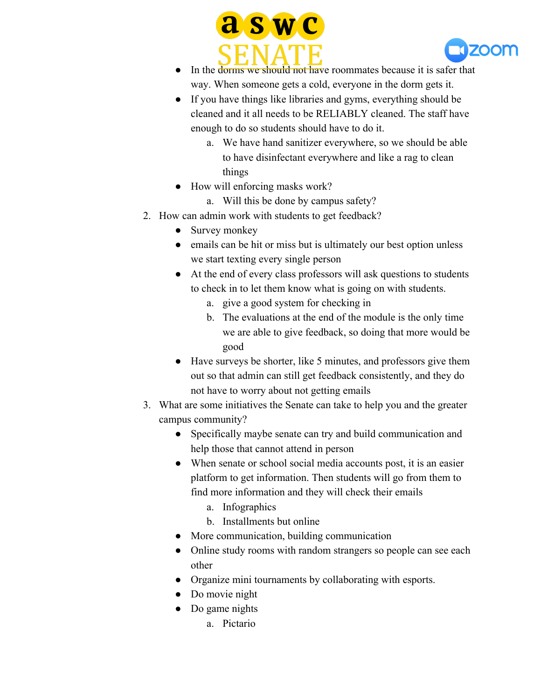



- In the dorms we should not have roommates because it is safer that way. When someone gets a cold, everyone in the dorm gets it.
- If you have things like libraries and gyms, everything should be cleaned and it all needs to be RELIABLY cleaned. The staff have enough to do so students should have to do it.
	- a. We have hand sanitizer everywhere, so we should be able to have disinfectant everywhere and like a rag to clean things
- How will enforcing masks work?
	- a. Will this be done by campus safety?
- 2. How can admin work with students to get feedback?
	- Survey monkey
	- emails can be hit or miss but is ultimately our best option unless we start texting every single person
	- At the end of every class professors will ask questions to students to check in to let them know what is going on with students.
		- a. give a good system for checking in
		- b. The evaluations at the end of the module is the only time we are able to give feedback, so doing that more would be good
	- Have surveys be shorter, like 5 minutes, and professors give them out so that admin can still get feedback consistently, and they do not have to worry about not getting emails
- 3. What are some initiatives the Senate can take to help you and the greater campus community?
	- Specifically maybe senate can try and build communication and help those that cannot attend in person
	- When senate or school social media accounts post, it is an easier platform to get information. Then students will go from them to find more information and they will check their emails
		- a. Infographics
		- b. Installments but online
	- More communication, building communication
	- Online study rooms with random strangers so people can see each other
	- Organize mini tournaments by collaborating with esports.
	- Do movie night
	- Do game nights
		- a. Pictario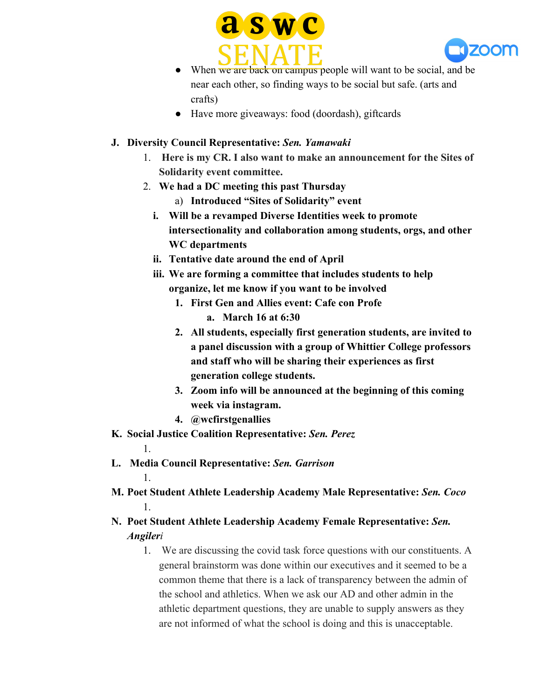



- When we are back on campus people will want to be social, and be near each other, so finding ways to be social but safe. (arts and crafts)
- Have more giveaways: food (doordash), giftcards
- **J. Diversity Council Representative:** *Sen. Yamawaki*
	- 1. **Here is my CR. I also want to make an announcement for the Sites of Solidarity event committee.**
	- 2. **We had a DC meeting this past Thursday**
		- a) **Introduced "Sites of Solidarity" event**
		- **i. Will be a revamped Diverse Identities week to promote intersectionality and collaboration among students, orgs, and other WC departments**
		- **ii. Tentative date around the end of April**
		- **iii. We are forming a committee that includes students to help organize, let me know if you want to be involved**
			- **1. First Gen and Allies event: Cafe con Profe**
				- **a. March 16 at 6:30**
			- **2. All students, especially first generation students, are invited to a panel discussion with a group of Whittier College professors and staff who will be sharing their experiences as first generation college students.**
			- **3. Zoom info will be announced at the beginning of this coming week via instagram.**
			- **4. @wcfirstgenallies**
- **K. Social Justice Coalition Representative:** *Sen. Perez*
- **L. Media Council Representative:** *Sen. Garrison*

1.

1.

- **M. Poet Student Athlete Leadership Academy Male Representative:** *Sen. Coco* 1.
- **N. Poet Student Athlete Leadership Academy Female Representative:** *Sen. Angileri*
	- 1. We are discussing the covid task force questions with our constituents. A general brainstorm was done within our executives and it seemed to be a common theme that there is a lack of transparency between the admin of the school and athletics. When we ask our AD and other admin in the athletic department questions, they are unable to supply answers as they are not informed of what the school is doing and this is unacceptable.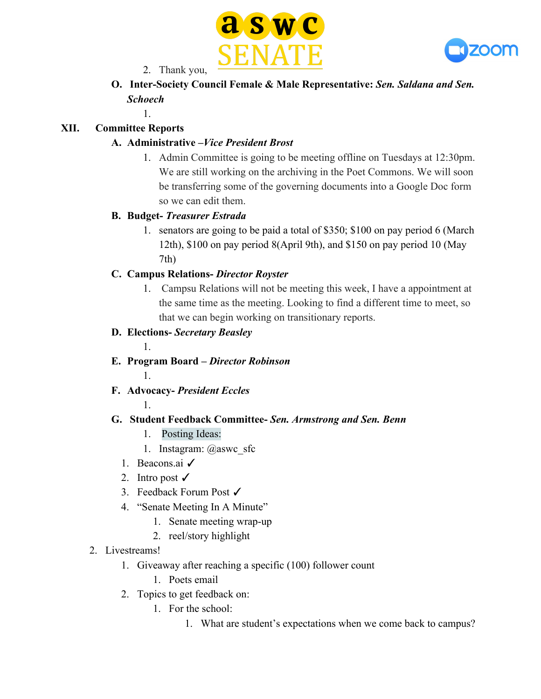



2. Thank you,

**O. Inter-Society Council Female & Male Representative:** *Sen. Saldana and Sen. Schoech*

#### 1.

## **XII. Committee Reports**

## **A. Administrative –***Vice President Brost*

1. Admin Committee is going to be meeting offline on Tuesdays at 12:30pm. We are still working on the archiving in the Poet Commons. We will soon be transferring some of the governing documents into a Google Doc form so we can edit them.

## **B. Budget-** *Treasurer Estrada*

1. senators are going to be paid a total of \$350; \$100 on pay period 6 (March 12th), \$100 on pay period 8(April 9th), and \$150 on pay period 10 (May 7th)

## **C. Campus Relations-** *Director Royster*

1. Campsu Relations will not be meeting this week, I have a appointment at the same time as the meeting. Looking to find a different time to meet, so that we can begin working on transitionary reports.

## **D. Elections-** *Secretary Beasley*

**E. Program Board –** *Director Robinson*

1.

1.

1.

## **F. Advocacy-** *President Eccles*

## **G. Student Feedback Committee-** *Sen. Armstrong and Sen. Benn*

- 1. Posting Ideas:
- 1. Instagram: @aswc\_sfc
- 1. Beacons.ai ✓
- 2. Intro post  $\checkmark$
- 3. Feedback Forum Post ✓
- 4. "Senate Meeting In A Minute"
	- 1. Senate meeting wrap-up
	- 2. reel/story highlight
- 2. Livestreams!
	- 1. Giveaway after reaching a specific (100) follower count
		- 1. Poets email
	- 2. Topics to get feedback on:
		- 1. For the school:
			- 1. What are student's expectations when we come back to campus?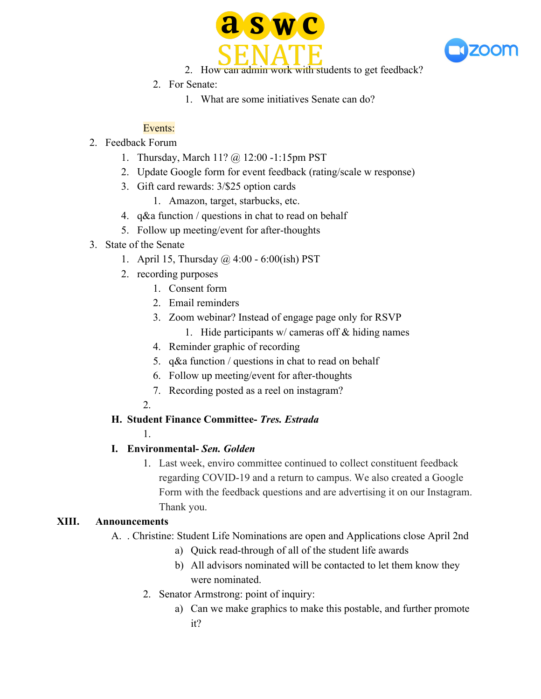



- 2. How can admin work with students to get feedback?
- 2. For Senate:
	- 1. What are some initiatives Senate can do?

## Events:

- 2. Feedback Forum
	- 1. Thursday, March 11? @ 12:00 -1:15pm PST
	- 2. Update Google form for event feedback (rating/scale w response)
	- 3. Gift card rewards: 3/\$25 option cards
		- 1. Amazon, target, starbucks, etc.
	- 4. q&a function / questions in chat to read on behalf
	- 5. Follow up meeting/event for after-thoughts
- 3. State of the Senate
	- 1. April 15, Thursday @ 4:00 6:00(ish) PST
	- 2. recording purposes
		- 1. Consent form
		- 2. Email reminders
		- 3. Zoom webinar? Instead of engage page only for RSVP
			- 1. Hide participants  $w /$  cameras off  $\&$  hiding names
		- 4. Reminder graphic of recording
		- 5. q&a function / questions in chat to read on behalf
		- 6. Follow up meeting/event for after-thoughts
		- 7. Recording posted as a reel on instagram?
		- 2.

1.

## **H. Student Finance Committee-** *Tres. Estrada*

## **I. Environmental-** *Sen. Golden*

1. Last week, enviro committee continued to collect constituent feedback regarding COVID-19 and a return to campus. We also created a Google Form with the feedback questions and are advertising it on our Instagram. Thank you.

#### **XIII. Announcements**

- A. . Christine: Student Life Nominations are open and Applications close April 2nd
	- a) Quick read-through of all of the student life awards
	- b) All advisors nominated will be contacted to let them know they were nominated.
	- 2. Senator Armstrong: point of inquiry:
		- a) Can we make graphics to make this postable, and further promote it?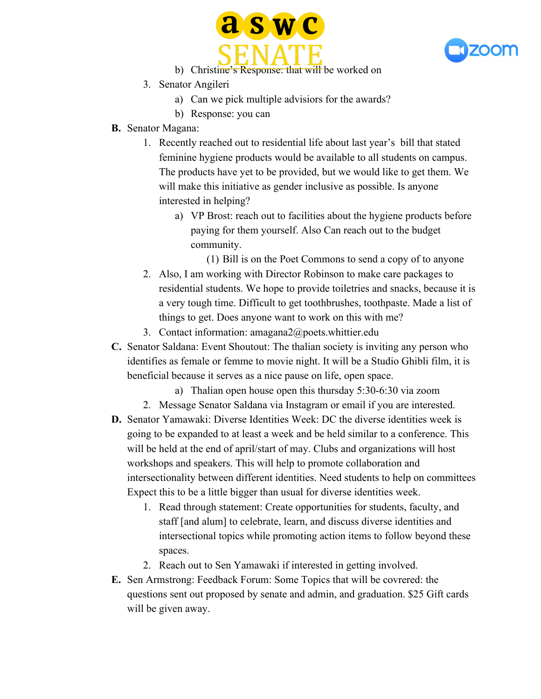



- b) Christine's Response: that will be worked on
- 3. Senator Angileri
	- a) Can we pick multiple advisiors for the awards?
	- b) Response: you can
- **B.** Senator Magana:
	- 1. Recently reached out to residential life about last year's bill that stated feminine hygiene products would be available to all students on campus. The products have yet to be provided, but we would like to get them. We will make this initiative as gender inclusive as possible. Is anyone interested in helping?
		- a) VP Brost: reach out to facilities about the hygiene products before paying for them yourself. Also Can reach out to the budget community.

(1) Bill is on the Poet Commons to send a copy of to anyone

- 2. Also, I am working with Director Robinson to make care packages to residential students. We hope to provide toiletries and snacks, because it is a very tough time. Difficult to get toothbrushes, toothpaste. Made a list of things to get. Does anyone want to work on this with me?
- 3. Contact information: amagana2@poets.whittier.edu
- **C.** Senator Saldana: Event Shoutout: The thalian society is inviting any person who identifies as female or femme to movie night. It will be a Studio Ghibli film, it is beneficial because it serves as a nice pause on life, open space.
	- a) Thalian open house open this thursday 5:30-6:30 via zoom
	- 2. Message Senator Saldana via Instagram or email if you are interested.
- **D.** Senator Yamawaki: Diverse Identities Week: DC the diverse identities week is going to be expanded to at least a week and be held similar to a conference. This will be held at the end of april/start of may. Clubs and organizations will host workshops and speakers. This will help to promote collaboration and intersectionality between different identities. Need students to help on committees Expect this to be a little bigger than usual for diverse identities week.
	- 1. Read through statement: Create opportunities for students, faculty, and staff [and alum] to celebrate, learn, and discuss diverse identities and intersectional topics while promoting action items to follow beyond these spaces.
	- 2. Reach out to Sen Yamawaki if interested in getting involved.
- **E.** Sen Armstrong: Feedback Forum: Some Topics that will be covrered: the questions sent out proposed by senate and admin, and graduation. \$25 Gift cards will be given away.